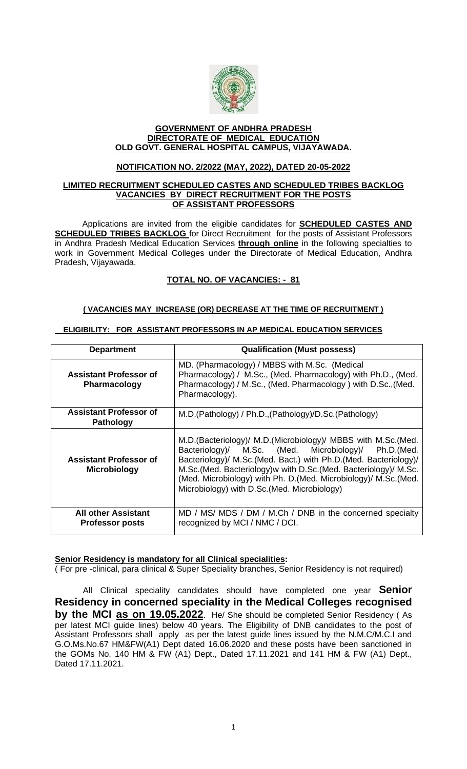

#### **GOVERNMENT OF ANDHRA PRADESH DIRECTORATE OF MEDICAL EDUCATION OLD GOVT. GENERAL HOSPITAL CAMPUS, VIJAYAWADA.**

# **NOTIFICATION NO. 2/2022 (MAY, 2022), DATED 20-05-2022**

#### **LIMITED RECRUITMENT SCHEDULED CASTES AND SCHEDULED TRIBES BACKLOG VACANCIES BY DIRECT RECRUITMENT FOR THE POSTS OF ASSISTANT PROFESSORS**

Applications are invited from the eligible candidates for **SCHEDULED CASTES AND SCHEDULED TRIBES BACKLOG** for Direct Recruitment for the posts of Assistant Professors in Andhra Pradesh Medical Education Services **through online** in the following specialties to work in Government Medical Colleges under the Directorate of Medical Education, Andhra Pradesh, Vijayawada.

# **TOTAL NO. OF VACANCIES: - 81**

# **( VACANCIES MAY INCREASE (OR) DECREASE AT THE TIME OF RECRUITMENT )**

| <b>Department</b>                                    | <b>Qualification (Must possess)</b>                                                                                                                                                                                                                                                                                                                                                 |
|------------------------------------------------------|-------------------------------------------------------------------------------------------------------------------------------------------------------------------------------------------------------------------------------------------------------------------------------------------------------------------------------------------------------------------------------------|
| <b>Assistant Professor of</b><br><b>Pharmacology</b> | MD. (Pharmacology) / MBBS with M.Sc. (Medical<br>Pharmacology) / M.Sc., (Med. Pharmacology) with Ph.D., (Med.<br>Pharmacology) / M.Sc., (Med. Pharmacology) with D.Sc., (Med.<br>Pharmacology).                                                                                                                                                                                     |
| <b>Assistant Professor of</b><br><b>Pathology</b>    | M.D.(Pathology) / Ph.D., (Pathology)/D.Sc. (Pathology)                                                                                                                                                                                                                                                                                                                              |
| <b>Assistant Professor of</b><br><b>Microbiology</b> | M.D. (Bacteriology)/ M.D. (Microbiology)/ MBBS with M.Sc. (Med.<br>Bacteriology)/ M.Sc. (Med. Microbiology)/ Ph.D.(Med.<br>Bacteriology)/ M.Sc.(Med. Bact.) with Ph.D.(Med. Bacteriology)/<br>M.Sc. (Med. Bacteriology) w with D.Sc. (Med. Bacteriology)/ M.Sc.<br>(Med. Microbiology) with Ph. D. (Med. Microbiology)/ M.Sc. (Med.<br>Microbiology) with D.Sc. (Med. Microbiology) |
| <b>All other Assistant</b><br><b>Professor posts</b> | MD / MS/ MDS / DM / M.Ch / DNB in the concerned specialty<br>recognized by MCI / NMC / DCI.                                                                                                                                                                                                                                                                                         |

# **ELIGIBILITY: FOR ASSISTANT PROFESSORS IN AP MEDICAL EDUCATION SERVICES**

# **Senior Residency is mandatory for all Clinical specialities:**

( For pre -clinical, para clinical & Super Speciality branches, Senior Residency is not required)

 All Clinical speciality candidates should have completed one year **Senior Residency in concerned speciality in the Medical Colleges recognised by the MCI as on 19.05.2022**. He/ She should be completed Senior Residency ( As per latest MCI guide lines) below 40 years. The Eligibility of DNB candidates to the post of Assistant Professors shall apply as per the latest guide lines issued by the N.M.C/M.C.I and G.O.Ms.No.67 HM&FW(A1) Dept dated 16.06.2020 and these posts have been sanctioned in the GOMs No. 140 HM & FW (A1) Dept., Dated 17.11.2021 and 141 HM & FW (A1) Dept., Dated 17.11.2021.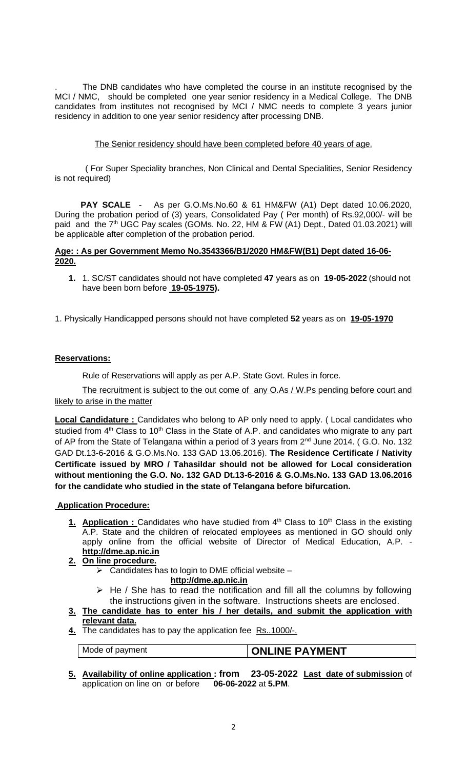. The DNB candidates who have completed the course in an institute recognised by the MCI / NMC, should be completed one year senior residency in a Medical College. The DNB candidates from institutes not recognised by MCI / NMC needs to complete 3 years junior residency in addition to one year senior residency after processing DNB.

# The Senior residency should have been completed before 40 years of age.

 ( For Super Speciality branches, Non Clinical and Dental Specialities, Senior Residency is not required)

 **PAY SCALE** - As per G.O.Ms.No.60 & 61 HM&FW (A1) Dept dated 10.06.2020, During the probation period of (3) years, Consolidated Pay ( Per month) of Rs.92,000/- will be paid and the 7<sup>th</sup> UGC Pay scales (GOMs. No. 22, HM & FW (A1) Dept., Dated 01.03.2021) will be applicable after completion of the probation period.

# **Age: : As per Government Memo No.3543366/B1/2020 HM&FW(B1) Dept dated 16-06- 2020.**

- **1.** 1. SC/ST candidates should not have completed **47** years as on **19-05-2022** (should not have been born before **19-05-1975).**
- 1. Physically Handicapped persons should not have completed **52** years as on **19-05-1970**

# **Reservations:**

Rule of Reservations will apply as per A.P. State Govt. Rules in force.

The recruitment is subject to the out come of any O.As / W.Ps pending before court and likely to arise in the matter

**Local Candidature :** Candidates who belong to AP only need to apply. (Local candidates who studied from  $4<sup>th</sup>$  Class to 10<sup>th</sup> Class in the State of A.P. and candidates who migrate to any part of AP from the State of Telangana within a period of 3 years from 2<sup>nd</sup> June 2014. (G.O. No. 132 GAD Dt.13-6-2016 & G.O.Ms.No. 133 GAD 13.06.2016). **The Residence Certificate / Nativity Certificate issued by MRO / Tahasildar should not be allowed for Local consideration without mentioning the G.O. No. 132 GAD Dt.13-6-2016 & G.O.Ms.No. 133 GAD 13.06.2016 for the candidate who studied in the state of Telangana before bifurcation.**

# **Application Procedure:**

1. **Application :** Candidates who have studied from 4<sup>th</sup> Class to 10<sup>th</sup> Class in the existing A.P. State and the children of relocated employees as mentioned in GO should only apply online from the official website of Director of Medical Education, A.P. **[http://dme.ap.nic.in](http://dme.ap.nic.in/)**

# **2. On line procedure.**

- $\triangleright$  Candidates has to login to DME official website
	- **[http://dme.ap.nic.in](http://dme.ap.nic.in/)**
- $\triangleright$  He / She has to read the notification and fill all the columns by following the instructions given in the software. Instructions sheets are enclosed.
- **3. The candidate has to enter his / her details, and submit the application with relevant data.**
- **4.** The candidates has to pay the application fee Rs..1000/-.

# Mode of payment **ONLINE PAYMENT**

**5. Availability of online application : from 23-05-2022 Last date of submission** of application on line on or before **06-06-2022** at **5.PM**.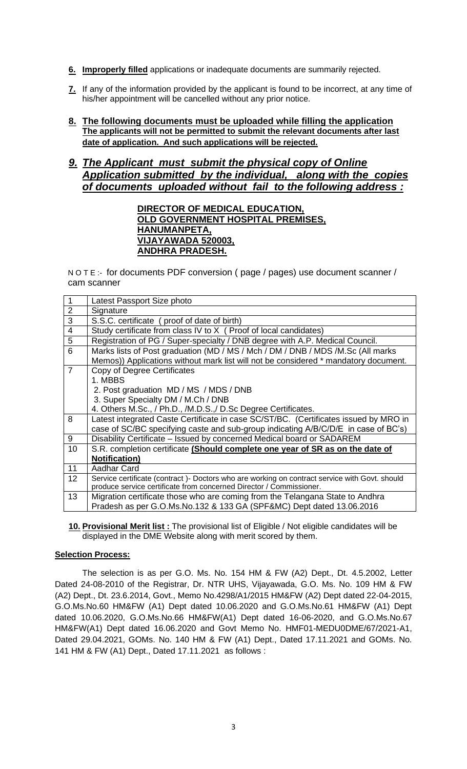- **6. Improperly filled** applications or inadequate documents are summarily rejected.
- **7.** If any of the information provided by the applicant is found to be incorrect, at any time of his/her appointment will be cancelled without any prior notice.
- **8. The following documents must be uploaded while filling the application The applicants will not be permitted to submit the relevant documents after last date of application. And such applications will be rejected.**

# *9. The Applicant must submit the physical copy of Online Application submitted by the individual, along with the copies of documents uploaded without fail to the following address :*

# **DIRECTOR OF MEDICAL EDUCATION, OLD GOVERNMENT HOSPITAL PREMISES, HANUMANPETA, VIJAYAWADA 520003, ANDHRA PRADESH.**

N O T E :- for documents PDF conversion ( page / pages) use document scanner / cam scanner

|                | Latest Passport Size photo                                                                     |  |  |  |  |  |  |  |  |  |  |
|----------------|------------------------------------------------------------------------------------------------|--|--|--|--|--|--|--|--|--|--|
| $\overline{2}$ | Signature                                                                                      |  |  |  |  |  |  |  |  |  |  |
| 3              | S.S.C. certificate (proof of date of birth)                                                    |  |  |  |  |  |  |  |  |  |  |
| $\overline{4}$ | Study certificate from class IV to X (Proof of local candidates)                               |  |  |  |  |  |  |  |  |  |  |
| 5              | Registration of PG / Super-specialty / DNB degree with A.P. Medical Council.                   |  |  |  |  |  |  |  |  |  |  |
| 6              | Marks lists of Post graduation (MD / MS / Mch / DM / DNB / MDS /M.Sc (All marks                |  |  |  |  |  |  |  |  |  |  |
|                | Memos)) Applications without mark list will not be considered * mandatory document.            |  |  |  |  |  |  |  |  |  |  |
| $\overline{7}$ | Copy of Degree Certificates                                                                    |  |  |  |  |  |  |  |  |  |  |
|                | 1. MBBS                                                                                        |  |  |  |  |  |  |  |  |  |  |
|                | 2. Post graduation MD / MS / MDS / DNB                                                         |  |  |  |  |  |  |  |  |  |  |
|                | 3. Super Specialty DM / M.Ch / DNB                                                             |  |  |  |  |  |  |  |  |  |  |
|                | 4. Others M.Sc., / Ph.D., /M.D.S.,/ D.Sc Degree Certificates.                                  |  |  |  |  |  |  |  |  |  |  |
| 8              | Latest integrated Caste Certificate in case SC/ST/BC. (Certificates issued by MRO in           |  |  |  |  |  |  |  |  |  |  |
|                | case of SC/BC specifying caste and sub-group indicating A/B/C/D/E in case of BC's)             |  |  |  |  |  |  |  |  |  |  |
| 9              | Disability Certificate – Issued by concerned Medical board or SADAREM                          |  |  |  |  |  |  |  |  |  |  |
| 10             | S.R. completion certificate (Should complete one year of SR as on the date of                  |  |  |  |  |  |  |  |  |  |  |
|                | <b>Notification)</b>                                                                           |  |  |  |  |  |  |  |  |  |  |
| 11             | <b>Aadhar Card</b>                                                                             |  |  |  |  |  |  |  |  |  |  |
| 12             | Service certificate (contract) - Doctors who are working on contract service with Govt. should |  |  |  |  |  |  |  |  |  |  |
|                | produce service certificate from concerned Director / Commissioner.                            |  |  |  |  |  |  |  |  |  |  |
| 13             | Migration certificate those who are coming from the Telangana State to Andhra                  |  |  |  |  |  |  |  |  |  |  |
|                | Pradesh as per G.O.Ms.No.132 & 133 GA (SPF&MC) Dept dated 13.06.2016                           |  |  |  |  |  |  |  |  |  |  |

**10. Provisional Merit list :** The provisional list of Eligible / Not eligible candidates will be displayed in the DME Website along with merit scored by them.

# **Selection Process:**

The selection is as per G.O. Ms. No. 154 HM & FW (A2) Dept., Dt. 4.5.2002, Letter Dated 24-08-2010 of the Registrar, Dr. NTR UHS, Vijayawada, G.O. Ms. No. 109 HM & FW (A2) Dept., Dt. 23.6.2014, Govt., Memo No.4298/A1/2015 HM&FW (A2) Dept dated 22-04-2015, G.O.Ms.No.60 HM&FW (A1) Dept dated 10.06.2020 and G.O.Ms.No.61 HM&FW (A1) Dept dated 10.06.2020, G.O.Ms.No.66 HM&FW(A1) Dept dated 16-06-2020, and G.O.Ms.No.67 HM&FW(A1) Dept dated 16.06.2020 and Govt Memo No. HMF01-MEDU0DME/67/2021-A1, Dated 29.04.2021, GOMs. No. 140 HM & FW (A1) Dept., Dated 17.11.2021 and GOMs. No. 141 HM & FW (A1) Dept., Dated 17.11.2021 as follows :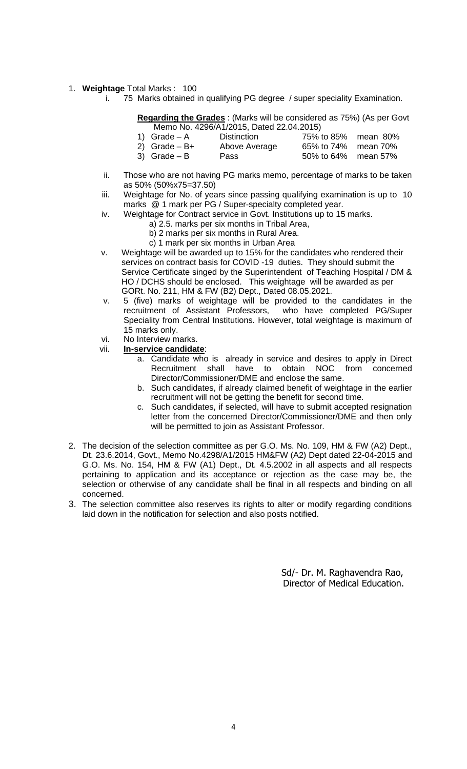#### 1. **Weightage** Total Marks : 100

i. 75 Marks obtained in qualifying PG degree / super speciality Examination.

**Regarding the Grades** : (Marks will be considered as 75%) (As per Govt Memo No. 4296/A1/2015, Dated 22.04.2015)

| 1) $Grade - A$ | Distinction   | 75% to 85% mean 80% |  |
|----------------|---------------|---------------------|--|
| 2) Grade – B+  | Above Average | 65% to 74% mean 70% |  |
| 3) Grade – B   | Pass          | 50% to 64% mean 57% |  |

- ii. Those who are not having PG marks memo, percentage of marks to be taken as 50% (50%x75=37.50)
- iii. Weightage for No. of years since passing qualifying examination is up to 10 marks @ 1 mark per PG / Super-specialty completed year.
- iv. Weightage for Contract service in Govt. Institutions up to 15 marks.
	- a) 2.5. marks per six months in Tribal Area,
	- b) 2 marks per six months in Rural Area.
	- c) 1 mark per six months in Urban Area
- v. Weightage will be awarded up to 15% for the candidates who rendered their services on contract basis for COVID -19 duties. They should submit the Service Certificate singed by the Superintendent of Teaching Hospital / DM & HO / DCHS should be enclosed. This weightage will be awarded as per GORt. No. 211, HM & FW (B2) Dept., Dated 08.05.2021.
- v. 5 (five) marks of weightage will be provided to the candidates in the recruitment of Assistant Professors, who have completed PG/Super Speciality from Central Institutions. However, total weightage is maximum of 15 marks only.
- vi. No Interview marks.
- vii. **In-service candidate**:
	- a. Candidate who is already in service and desires to apply in Direct Recruitment shall have to obtain NOC from concerned Director/Commissioner/DME and enclose the same.
	- b. Such candidates, if already claimed benefit of weightage in the earlier recruitment will not be getting the benefit for second time.
	- c. Such candidates, if selected, will have to submit accepted resignation letter from the concerned Director/Commissioner/DME and then only will be permitted to join as Assistant Professor.
- 2. The decision of the selection committee as per G.O. Ms. No. 109, HM & FW (A2) Dept., Dt. 23.6.2014, Govt., Memo No.4298/A1/2015 HM&FW (A2) Dept dated 22-04-2015 and G.O. Ms. No. 154, HM & FW (A1) Dept., Dt. 4.5.2002 in all aspects and all respects pertaining to application and its acceptance or rejection as the case may be, the selection or otherwise of any candidate shall be final in all respects and binding on all concerned.
- 3. The selection committee also reserves its rights to alter or modify regarding conditions laid down in the notification for selection and also posts notified.

 Sd/- Dr. M. Raghavendra Rao, Director of Medical Education.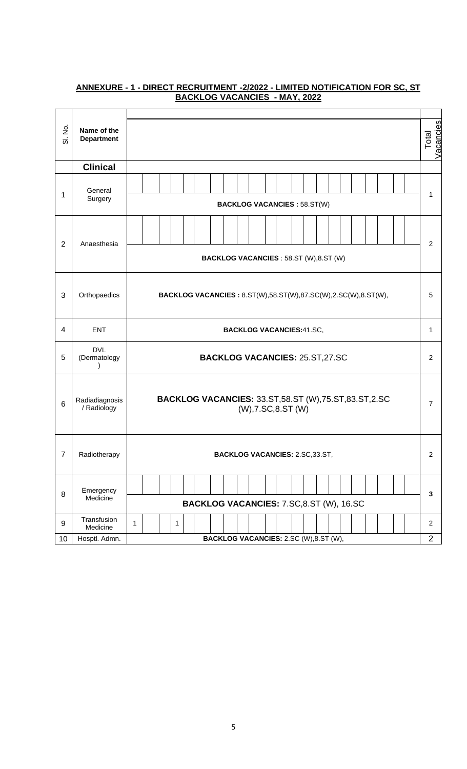| $\dot{\mathcal{Z}}$<br>$\overline{\sigma}$ | Name of the<br><b>Department</b> |                                                                                       | Vacancies<br>Total |  |  |  |  |  |  |  |  |  |
|--------------------------------------------|----------------------------------|---------------------------------------------------------------------------------------|--------------------|--|--|--|--|--|--|--|--|--|
|                                            | <b>Clinical</b>                  |                                                                                       |                    |  |  |  |  |  |  |  |  |  |
| 1                                          | General<br>Surgery               | <b>BACKLOG VACANCIES : 58.ST(W)</b>                                                   | 1                  |  |  |  |  |  |  |  |  |  |
| $\overline{2}$                             | Anaesthesia                      | <b>BACKLOG VACANCIES: 58.ST (W),8.ST (W)</b>                                          | $\overline{2}$     |  |  |  |  |  |  |  |  |  |
| 3                                          | Orthopaedics                     | <b>BACKLOG VACANCIES: 8.ST(W),58.ST(W),87.SC(W),2.SC(W),8.ST(W),</b>                  |                    |  |  |  |  |  |  |  |  |  |
| 4                                          | <b>ENT</b>                       | <b>BACKLOG VACANCIES:41.SC,</b>                                                       |                    |  |  |  |  |  |  |  |  |  |
| 5                                          | <b>DVL</b><br>(Dermatology       | <b>BACKLOG VACANCIES: 25.ST,27.SC</b>                                                 |                    |  |  |  |  |  |  |  |  |  |
| 6                                          | Radiadiagnosis<br>/ Radiology    | <b>BACKLOG VACANCIES: 33.ST, 58.ST (W), 75.ST, 83.ST, 2.SC</b><br>(W), 7.SC, 8.ST (W) |                    |  |  |  |  |  |  |  |  |  |
| $\overline{7}$                             | Radiotherapy                     | <b>BACKLOG VACANCIES: 2.SC,33.ST,</b>                                                 |                    |  |  |  |  |  |  |  |  |  |
| 8                                          | Emergency<br>Medicine            | BACKLOG VACANCIES: 7.SC,8.ST (W), 16.SC                                               | 3                  |  |  |  |  |  |  |  |  |  |
| 9                                          | Transfusion<br>Medicine          | 1<br>1                                                                                | $\overline{2}$     |  |  |  |  |  |  |  |  |  |
| 10                                         | Hosptl. Admn.                    | <b>BACKLOG VACANCIES: 2.SC (W),8.ST (W),</b>                                          | $\overline{2}$     |  |  |  |  |  |  |  |  |  |

#### **ANNEXURE - 1 - DIRECT RECRUITMENT -2/2022 - LIMITED NOTIFICATION FOR SC, ST BACKLOG VACANCIES - MAY, 2022**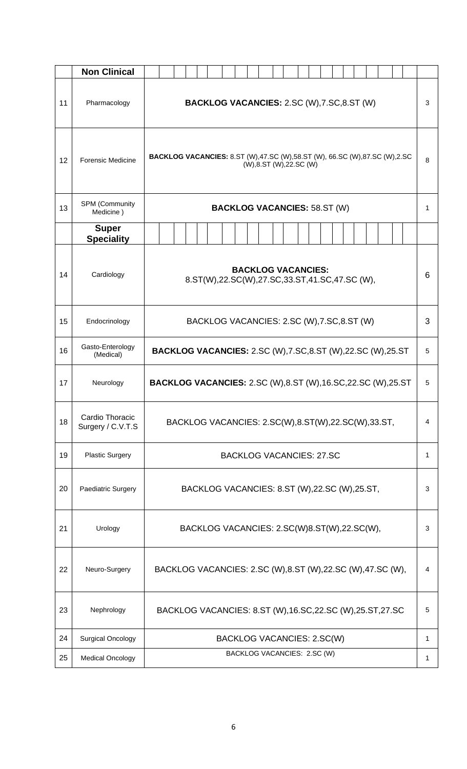|    | <b>Non Clinical</b>                  |                                                                                                            |              |  |  |  |  |  |  |  |  |  |  |
|----|--------------------------------------|------------------------------------------------------------------------------------------------------------|--------------|--|--|--|--|--|--|--|--|--|--|
| 11 | Pharmacology                         | <b>BACKLOG VACANCIES: 2.SC (W), 7.SC, 8.ST (W)</b>                                                         |              |  |  |  |  |  |  |  |  |  |  |
| 12 | <b>Forensic Medicine</b>             | <b>BACKLOG VACANCIES:</b> 8.ST (W),47.SC (W),58.ST (W), 66.SC (W),87.SC (W),2.SC<br>(W),8.ST (W),22.SC (W) |              |  |  |  |  |  |  |  |  |  |  |
| 13 | SPM (Community<br>Medicine)          | <b>BACKLOG VACANCIES: 58.ST (W)</b>                                                                        |              |  |  |  |  |  |  |  |  |  |  |
|    | <b>Super</b><br><b>Speciality</b>    |                                                                                                            |              |  |  |  |  |  |  |  |  |  |  |
| 14 | Cardiology                           | <b>BACKLOG VACANCIES:</b><br>8.ST(W),22.SC(W),27.SC,33.ST,41.SC,47.SC (W),                                 | 6            |  |  |  |  |  |  |  |  |  |  |
| 15 | Endocrinology                        | BACKLOG VACANCIES: 2.SC (W), 7.SC, 8.ST (W)<br>3                                                           |              |  |  |  |  |  |  |  |  |  |  |
| 16 | Gasto-Enterology<br>(Medical)        | <b>BACKLOG VACANCIES:</b> 2.SC (W), 7.SC, 8.ST (W), 22.SC (W), 25.ST<br>5                                  |              |  |  |  |  |  |  |  |  |  |  |
| 17 | Neurology                            | <b>BACKLOG VACANCIES: 2.SC (W), 8.ST (W), 16.SC, 22.SC (W), 25.ST</b>                                      |              |  |  |  |  |  |  |  |  |  |  |
| 18 | Cardio Thoracic<br>Surgery / C.V.T.S | BACKLOG VACANCIES: 2.SC(W),8.ST(W),22.SC(W),33.ST,                                                         |              |  |  |  |  |  |  |  |  |  |  |
| 19 | <b>Plastic Surgery</b>               | <b>BACKLOG VACANCIES: 27.SC</b>                                                                            | $\mathbf{1}$ |  |  |  |  |  |  |  |  |  |  |
| 20 | Paediatric Surgery                   | BACKLOG VACANCIES: 8.ST (W), 22.SC (W), 25.ST,                                                             |              |  |  |  |  |  |  |  |  |  |  |
| 21 | Urology                              | BACKLOG VACANCIES: 2.SC(W)8.ST(W),22.SC(W),<br>3                                                           |              |  |  |  |  |  |  |  |  |  |  |
| 22 | Neuro-Surgery                        | BACKLOG VACANCIES: 2.SC (W),8.ST (W),22.SC (W),47.SC (W),<br>4                                             |              |  |  |  |  |  |  |  |  |  |  |
| 23 | Nephrology                           | BACKLOG VACANCIES: 8.ST (W), 16.SC, 22.SC (W), 25.ST, 27.SC                                                | 5            |  |  |  |  |  |  |  |  |  |  |
| 24 | <b>Surgical Oncology</b>             | BACKLOG VACANCIES: 2.SC(W)                                                                                 | 1            |  |  |  |  |  |  |  |  |  |  |
| 25 | <b>Medical Oncology</b>              | BACKLOG VACANCIES: 2.SC (W)<br>1                                                                           |              |  |  |  |  |  |  |  |  |  |  |